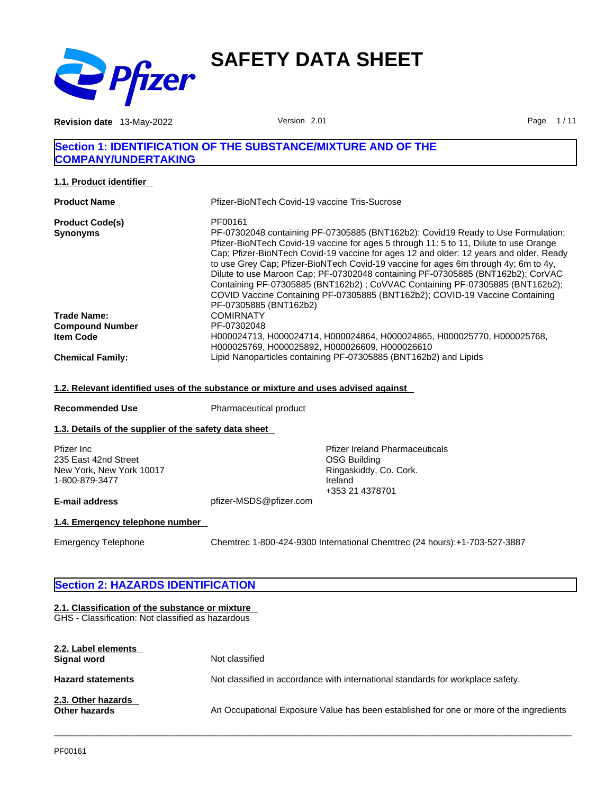

**Revision date** 13-May-2022 **Page 1/11** Version 2.01 **Page 1/11** 

# **Section 1: IDENTIFICATION OF THE SUBSTANCE/MIXTURE AND OF THE COMPANY/UNDERTAKING**

**1.1. Product identifier** 

| <b>Product Name</b>     | Pfizer-BioNTech Covid-19 vaccine Tris-Sucrose                                                                                                                                                                                                                                                                                                                                                                                                                                                                                                                                                                 |
|-------------------------|---------------------------------------------------------------------------------------------------------------------------------------------------------------------------------------------------------------------------------------------------------------------------------------------------------------------------------------------------------------------------------------------------------------------------------------------------------------------------------------------------------------------------------------------------------------------------------------------------------------|
| <b>Product Code(s)</b>  | PF00161                                                                                                                                                                                                                                                                                                                                                                                                                                                                                                                                                                                                       |
| <b>Synonyms</b>         | PF-07302048 containing PF-07305885 (BNT162b2): Covid19 Ready to Use Formulation;<br>Pfizer-BioNTech Covid-19 vaccine for ages 5 through 11: 5 to 11, Dilute to use Orange<br>Cap; Pfizer-BioNTech Covid-19 vaccine for ages 12 and older: 12 years and older, Ready<br>to use Grey Cap; Pfizer-BioNTech Covid-19 vaccine for ages 6m through 4y; 6m to 4y,<br>Dilute to use Maroon Cap; PF-07302048 containing PF-07305885 (BNT162b2); CorVAC<br>Containing PF-07305885 (BNT162b2); CoVVAC Containing PF-07305885 (BNT162b2);<br>COVID Vaccine Containing PF-07305885 (BNT162b2); COVID-19 Vaccine Containing |
| <b>Trade Name:</b>      | PF-07305885 (BNT162b2)<br><b>COMIRNATY</b>                                                                                                                                                                                                                                                                                                                                                                                                                                                                                                                                                                    |
| <b>Compound Number</b>  | PF-07302048                                                                                                                                                                                                                                                                                                                                                                                                                                                                                                                                                                                                   |
| <b>Item Code</b>        | H000024713, H000024714, H000024864, H000024865, H000025770, H000025768,<br>H000025769, H000025892, H000026609, H000026610                                                                                                                                                                                                                                                                                                                                                                                                                                                                                     |
| <b>Chemical Family:</b> | Lipid Nanoparticles containing PF-07305885 (BNT162b2) and Lipids                                                                                                                                                                                                                                                                                                                                                                                                                                                                                                                                              |

#### **1.2. Relevant identified uses of the substance or mixture and uses advised against**

**Recommended Use** Pharmaceutical product

# **1.3. Details of the supplier of the safety data sheet**

| Pfizer Inc               |  |
|--------------------------|--|
| 235 East 42nd Street     |  |
| New York, New York 10017 |  |
| 1-800-879-3477           |  |

Pfizer Ireland Pharmaceuticals OSG Building Ringaskiddy, Co. Cork. Ireland +353 21 4378701

# **E-mail address** pfizer-MSDS@pfizer.com

**1.4. Emergency telephone number** 

Emergency Telephone Chemtrec 1-800-424-9300 International Chemtrec (24 hours):+1-703-527-3887

# **Section 2: HAZARDS IDENTIFICATION**

# **2.1. Classification of the substance or mixture**

GHS - Classification: Not classified as hazardous

| 2.2. Label elements<br>Signal word         | Not classified                                                                         |
|--------------------------------------------|----------------------------------------------------------------------------------------|
| <b>Hazard statements</b>                   | Not classified in accordance with international standards for workplace safety.        |
| 2.3. Other hazards<br><b>Other hazards</b> | An Occupational Exposure Value has been established for one or more of the ingredients |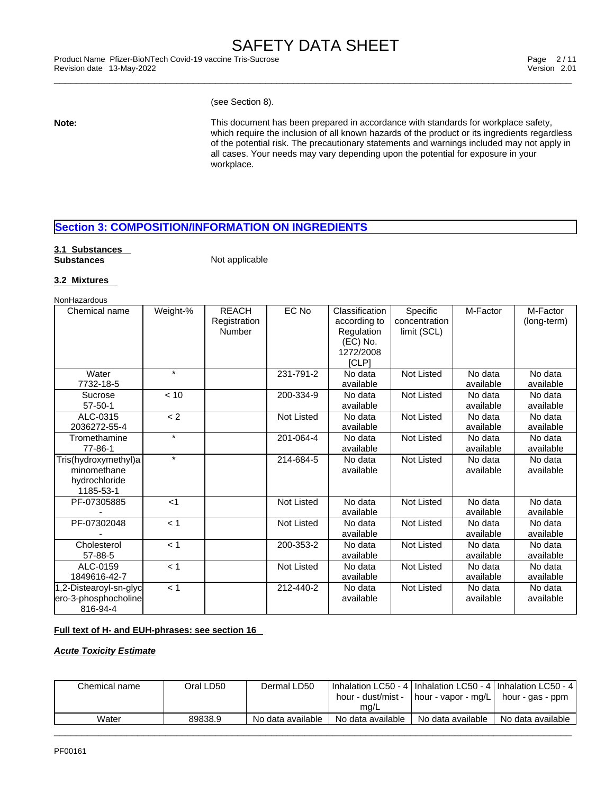\_\_\_\_\_\_\_\_\_\_\_\_\_\_\_\_\_\_\_\_\_\_\_\_\_\_\_\_\_\_\_\_\_\_\_\_\_\_\_\_\_\_\_\_\_\_\_\_\_\_\_\_\_\_\_\_\_\_\_\_\_\_\_\_\_\_\_\_\_\_\_\_\_\_\_\_\_\_\_\_\_\_\_\_\_\_\_\_\_\_\_\_\_ Product Name Pfizer-BioNTech Covid-19 vaccine Tris-Sucrose Page 2 / 11 Revision date 13-May-2022 Version 2.01

(see Section 8).

**Note:** This document has been prepared in accordance with standards for workplace safety, which require the inclusion of all known hazards of the product or its ingredients regardless of the potential risk. The precautionary statements and warnings included may not apply in all cases. Your needs may vary depending upon the potential for exposure in your workplace.

# **Section 3: COMPOSITION/INFORMATION ON INGREDIENTS**

# **3.1 Substances**

**Not applicable** 

# **3.2 Mixtures**

**NonHazardous** 

| Chemical name          | Weight-% | <b>REACH</b> | EC No      | Classification | Specific          | M-Factor  | M-Factor    |
|------------------------|----------|--------------|------------|----------------|-------------------|-----------|-------------|
|                        |          | Registration |            | according to   | concentration     |           | (long-term) |
|                        |          | Number       |            | Regulation     | limit (SCL)       |           |             |
|                        |          |              |            | (EC) No.       |                   |           |             |
|                        |          |              |            | 1272/2008      |                   |           |             |
|                        |          |              |            | [CLP]          |                   |           |             |
| Water                  | $\star$  |              | 231-791-2  | No data        | <b>Not Listed</b> | No data   | No data     |
| 7732-18-5              |          |              |            | available      |                   | available | available   |
| Sucrose                | < 10     |              | 200-334-9  | No data        | Not Listed        | No data   | No data     |
| $57 - 50 - 1$          |          |              |            | available      |                   | available | available   |
| ALC-0315               | < 2      |              | Not Listed | No data        | Not Listed        | No data   | No data     |
| 2036272-55-4           |          |              |            | available      |                   | available | available   |
| Tromethamine           | $\star$  |              | 201-064-4  | No data        | <b>Not Listed</b> | No data   | No data     |
| 77-86-1                |          |              |            | available      |                   | available | available   |
| Tris(hydroxymethyl)a   | $\star$  |              | 214-684-5  | No data        | Not Listed        | No data   | No data     |
| minomethane            |          |              |            | available      |                   | available | available   |
| hydrochloride          |          |              |            |                |                   |           |             |
| 1185-53-1              |          |              |            |                |                   |           |             |
| PF-07305885            | $<$ 1    |              | Not Listed | No data        | Not Listed        | No data   | No data     |
|                        |          |              |            | available      |                   | available | available   |
| PF-07302048            | < 1      |              | Not Listed | No data        | Not Listed        | No data   | No data     |
|                        |          |              |            | available      |                   | available | available   |
| Cholesterol            | < 1      |              | 200-353-2  | No data        | Not Listed        | No data   | No data     |
| 57-88-5                |          |              |            | available      |                   | available | available   |
| ALC-0159               | < 1      |              | Not Listed | No data        | Not Listed        | No data   | No data     |
| 1849616-42-7           |          |              |            | available      |                   | available | available   |
| 1,2-Distearoyl-sn-glyc | < 1      |              | 212-440-2  | No data        | Not Listed        | No data   | No data     |
| ero-3-phosphocholine   |          |              |            | available      |                   | available | available   |
| 816-94-4               |          |              |            |                |                   |           |             |

# **Full text of H- and EUH-phrases: see section 16**

*Acute Toxicity Estimate*

| Chemical name | Oral LD50 | Dermal LD50       | hour - dust/mist -<br>mg/L | Inhalation LC50 - 4   Inhalation LC50 - 4   Inhalation LC50 - 4  <br>[hour - vapor - mg/L] | hour - gas - ppm  |
|---------------|-----------|-------------------|----------------------------|--------------------------------------------------------------------------------------------|-------------------|
| Water         | 89838.9   | No data available | No data available          | No data available                                                                          | No data available |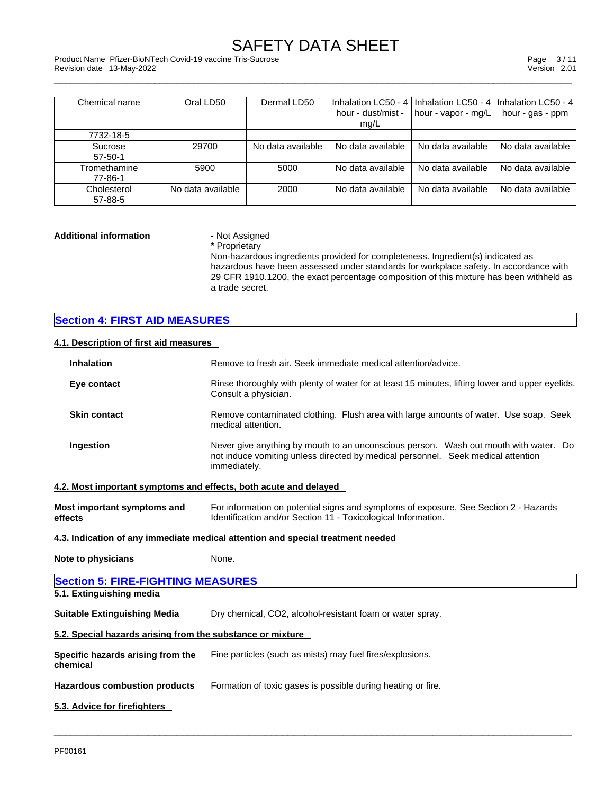\_\_\_\_\_\_\_\_\_\_\_\_\_\_\_\_\_\_\_\_\_\_\_\_\_\_\_\_\_\_\_\_\_\_\_\_\_\_\_\_\_\_\_\_\_\_\_\_\_\_\_\_\_\_\_\_\_\_\_\_\_\_\_\_\_\_\_\_\_\_\_\_\_\_\_\_\_\_\_\_\_\_\_\_\_\_\_\_\_\_\_\_\_ Product Name Pfizer-BioNTech Covid-19 vaccine Tris-Sucrose Page 3 / 11 Revision date 13-May-2022 Version 2.01

| Chemical name            | Oral LD50         | Dermal LD50       |                            | Inhalation LC50 - 4   Inhalation LC50 - 4   Inhalation LC50 - 4 |                   |
|--------------------------|-------------------|-------------------|----------------------------|-----------------------------------------------------------------|-------------------|
|                          |                   |                   | hour - dust/mist -<br>mg/L | hour - vapor - mg/L                                             | hour - gas - ppm  |
| 7732-18-5                |                   |                   |                            |                                                                 |                   |
| Sucrose<br>$57 - 50 - 1$ | 29700             | No data available | No data available          | No data available                                               | No data available |
| Tromethamine<br>77-86-1  | 5900              | 5000              | No data available          | No data available                                               | No data available |
| Cholesterol<br>57-88-5   | No data available | 2000              | No data available          | No data available                                               | No data available |

# **Additional information** - Not Assigned

\* Proprietary

Non-hazardous ingredients provided for completeness. Ingredient(s) indicated as hazardous have been assessed under standards for workplace safety. In accordance with 29 CFR 1910.1200, the exact percentage composition of this mixture has been withheld as a trade secret.

# **Section 4: FIRST AID MEASURES**

# **4.1. Description of first aid measures**

| <b>Inhalation</b>                                                | Remove to fresh air. Seek immediate medical attention/advice.                                                                                                                            |  |  |  |  |
|------------------------------------------------------------------|------------------------------------------------------------------------------------------------------------------------------------------------------------------------------------------|--|--|--|--|
| Eye contact                                                      | Rinse thoroughly with plenty of water for at least 15 minutes, lifting lower and upper eyelids.<br>Consult a physician.                                                                  |  |  |  |  |
| <b>Skin contact</b>                                              | Remove contaminated clothing. Flush area with large amounts of water. Use soap. Seek<br>medical attention.                                                                               |  |  |  |  |
| Ingestion                                                        | Never give anything by mouth to an unconscious person. Wash out mouth with water. Do<br>not induce vomiting unless directed by medical personnel. Seek medical attention<br>immediately. |  |  |  |  |
| 4.2. Most important symptoms and effects, both acute and delayed |                                                                                                                                                                                          |  |  |  |  |
| Most important symptoms and<br>effects                           | For information on potential signs and symptoms of exposure, See Section 2 - Hazards<br>Identification and/or Section 11 - Toxicological Information.                                    |  |  |  |  |
|                                                                  | 4.3. Indication of any immediate medical attention and special treatment needed                                                                                                          |  |  |  |  |
| <b>Note to physicians</b>                                        | None.                                                                                                                                                                                    |  |  |  |  |
| <b>Section 5: FIRE-FIGHTING MEASURES</b>                         |                                                                                                                                                                                          |  |  |  |  |
| 5.1. Extinguishing media                                         |                                                                                                                                                                                          |  |  |  |  |
| <b>Suitable Extinguishing Media</b>                              | Dry chemical, CO2, alcohol-resistant foam or water spray.                                                                                                                                |  |  |  |  |
| 5.2. Special hazards arising from the substance or mixture       |                                                                                                                                                                                          |  |  |  |  |
| Specific hazards arising from the<br>chemical                    | Fine particles (such as mists) may fuel fires/explosions.                                                                                                                                |  |  |  |  |
| <b>Hazardous combustion products</b>                             | Formation of toxic gases is possible during heating or fire.                                                                                                                             |  |  |  |  |
| 5.3. Advice for firefighters                                     |                                                                                                                                                                                          |  |  |  |  |
|                                                                  |                                                                                                                                                                                          |  |  |  |  |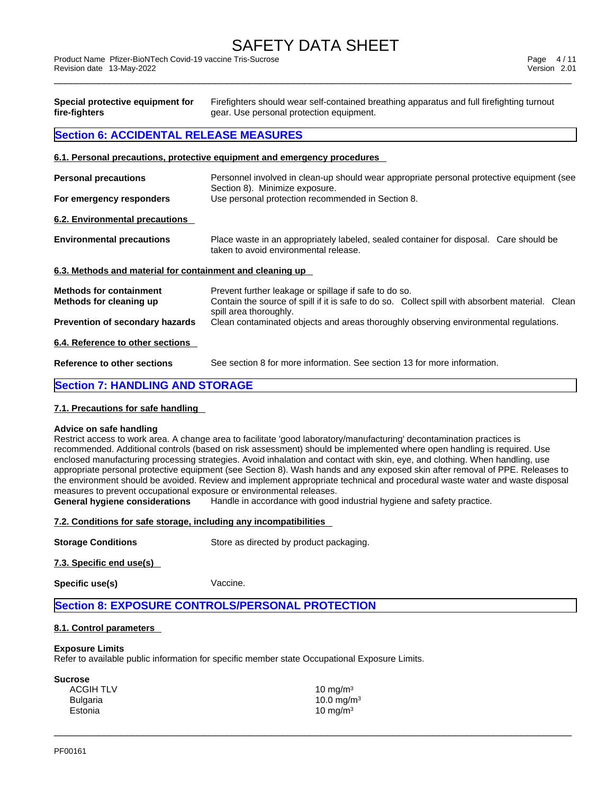\_\_\_\_\_\_\_\_\_\_\_\_\_\_\_\_\_\_\_\_\_\_\_\_\_\_\_\_\_\_\_\_\_\_\_\_\_\_\_\_\_\_\_\_\_\_\_\_\_\_\_\_\_\_\_\_\_\_\_\_\_\_\_\_\_\_\_\_\_\_\_\_\_\_\_\_\_\_\_\_\_\_\_\_\_\_\_\_\_\_\_\_\_ Product Name Pfizer-BioNTech Covid-19 vaccine Tris-Sucrose Page 4 / 11 Revision date 13-May-2022 Version 2.01

| Special protective equipment for<br>fire-fighters         | Firefighters should wear self-contained breathing apparatus and full firefighting turnout<br>gear. Use personal protection equipment. |  |  |  |  |
|-----------------------------------------------------------|---------------------------------------------------------------------------------------------------------------------------------------|--|--|--|--|
| <b>Section 6: ACCIDENTAL RELEASE MEASURES</b>             |                                                                                                                                       |  |  |  |  |
|                                                           | 6.1. Personal precautions, protective equipment and emergency procedures                                                              |  |  |  |  |
| <b>Personal precautions</b>                               | Personnel involved in clean-up should wear appropriate personal protective equipment (see<br>Section 8). Minimize exposure.           |  |  |  |  |
| For emergency responders                                  | Use personal protection recommended in Section 8.                                                                                     |  |  |  |  |
| 6.2. Environmental precautions                            |                                                                                                                                       |  |  |  |  |
| <b>Environmental precautions</b>                          | Place waste in an appropriately labeled, sealed container for disposal. Care should be<br>taken to avoid environmental release.       |  |  |  |  |
| 6.3. Methods and material for containment and cleaning up |                                                                                                                                       |  |  |  |  |
| <b>Methods for containment</b>                            | Prevent further leakage or spillage if safe to do so.                                                                                 |  |  |  |  |
| Methods for cleaning up                                   | Contain the source of spill if it is safe to do so. Collect spill with absorbent material. Clean<br>spill area thoroughly.            |  |  |  |  |

**Prevention of secondary hazards** Clean contaminated objects and areas thoroughly observing environmental regulations.

# **6.4. Reference to other sections**

**Reference to other sections** See section 8 for more information. See section 13 for more information.

# **Section 7: HANDLING AND STORAGE**

# **7.1. Precautions for safe handling**

# **Advice on safe handling**

Restrict access to work area. A change area to facilitate 'good laboratory/manufacturing' decontamination practices is recommended. Additional controls (based on risk assessment) should be implemented where open handling is required. Use enclosed manufacturing processing strategies. Avoid inhalation and contact with skin, eye, and clothing. When handling, use appropriate personal protective equipment (see Section 8). Wash hands and any exposed skin after removal of PPE. Releases to the environment should be avoided. Review and implement appropriate technical and procedural waste water and waste disposal measures to prevent occupational exposure or environmental releases.<br>General hygiene considerations Handle in accordance with good

 $\_$  ,  $\_$  ,  $\_$  ,  $\_$  ,  $\_$  ,  $\_$  ,  $\_$  ,  $\_$  ,  $\_$  ,  $\_$  ,  $\_$  ,  $\_$  ,  $\_$  ,  $\_$  ,  $\_$  ,  $\_$  ,  $\_$  ,  $\_$  ,  $\_$  ,  $\_$  ,  $\_$  ,  $\_$  ,  $\_$  ,  $\_$  ,  $\_$  ,  $\_$  ,  $\_$  ,  $\_$  ,  $\_$  ,  $\_$  ,  $\_$  ,  $\_$  ,  $\_$  ,  $\_$  ,  $\_$  ,  $\_$  ,  $\_$  ,

Handle in accordance with good industrial hygiene and safety practice.

# **7.2. Conditions for safe storage, including any incompatibilities**

**Storage Conditions** Store as directed by product packaging.

**7.3. Specific end use(s)** 

**Specific use(s)** Vaccine.

# **Section 8: EXPOSURE CONTROLS/PERSONAL PROTECTION**

# **8.1. Control parameters**

#### **Exposure Limits**

Refer to available public information for specific member state Occupational Exposure Limits.

| Sucrose          |                        |
|------------------|------------------------|
| <b>ACGIH TLV</b> | 10 mg/m $3$            |
| <b>Bulgaria</b>  | 10.0 mg/m <sup>3</sup> |
| Estonia          | 10 mg/m $3$            |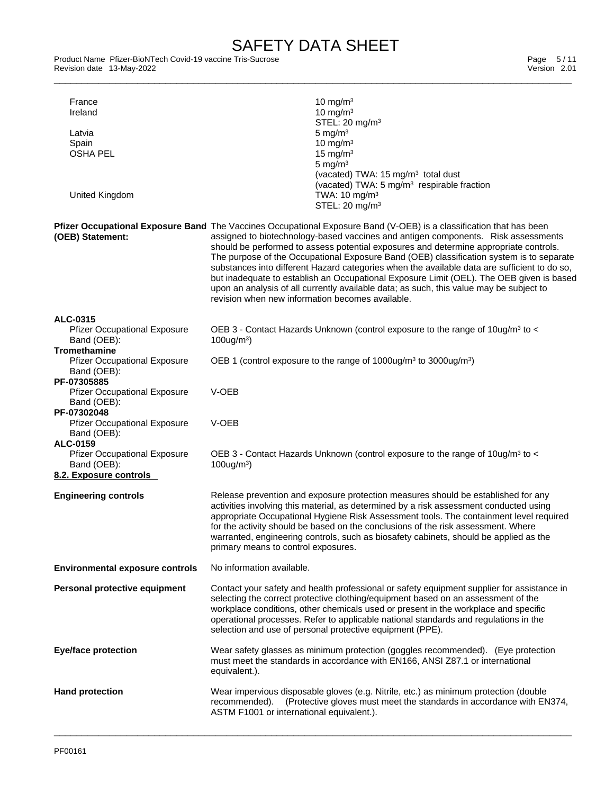Product Name Pfizer-BioNTech Covid-19 vaccine Tris-Sucrose and the state of the state of the state of the Page 5/11<br>Revision date 13-May-2022 Revision date 13-May-2022

| France<br>Ireland<br>Latvia<br>Spain<br><b>OSHA PEL</b>                                  | 10 mg/m $3$<br>10 mg/m $3$<br>STEL: 20 mg/m <sup>3</sup><br>5 mg/m $3$<br>10 mg/m $3$<br>15 mg/m $3$<br>5 mg/ $m3$<br>(vacated) TWA: $15 \text{ mg/m}^3$ total dust                                                                                                                                                                                                                                                                                                                                                                                                                                                                                                                                                                      |
|------------------------------------------------------------------------------------------|------------------------------------------------------------------------------------------------------------------------------------------------------------------------------------------------------------------------------------------------------------------------------------------------------------------------------------------------------------------------------------------------------------------------------------------------------------------------------------------------------------------------------------------------------------------------------------------------------------------------------------------------------------------------------------------------------------------------------------------|
| United Kingdom                                                                           | (vacated) TWA: 5 mg/m <sup>3</sup> respirable fraction<br>TWA: 10 mg/m <sup>3</sup><br>STEL: 20 mg/m <sup>3</sup>                                                                                                                                                                                                                                                                                                                                                                                                                                                                                                                                                                                                                        |
| (OEB) Statement:                                                                         | Pfizer Occupational Exposure Band The Vaccines Occupational Exposure Band (V-OEB) is a classification that has been<br>assigned to biotechnology-based vaccines and antigen components. Risk assessments<br>should be performed to assess potential exposures and determine appropriate controls.<br>The purpose of the Occupational Exposure Band (OEB) classification system is to separate<br>substances into different Hazard categories when the available data are sufficient to do so,<br>but inadequate to establish an Occupational Exposure Limit (OEL). The OEB given is based<br>upon an analysis of all currently available data; as such, this value may be subject to<br>revision when new information becomes available. |
| ALC-0315<br><b>Pfizer Occupational Exposure</b><br>Band (OEB):                           | OEB 3 - Contact Hazards Unknown (control exposure to the range of 10ug/m <sup>3</sup> to <<br>$100$ ug/m <sup>3</sup> )                                                                                                                                                                                                                                                                                                                                                                                                                                                                                                                                                                                                                  |
| <b>Tromethamine</b><br><b>Pfizer Occupational Exposure</b><br>Band (OEB):<br>PF-07305885 | OEB 1 (control exposure to the range of 1000ug/m <sup>3</sup> to 3000ug/m <sup>3</sup> )                                                                                                                                                                                                                                                                                                                                                                                                                                                                                                                                                                                                                                                 |
| <b>Pfizer Occupational Exposure</b><br>Band (OEB):                                       | V-OEB                                                                                                                                                                                                                                                                                                                                                                                                                                                                                                                                                                                                                                                                                                                                    |
| PF-07302048<br><b>Pfizer Occupational Exposure</b><br>Band (OEB):<br><b>ALC-0159</b>     | V-OEB                                                                                                                                                                                                                                                                                                                                                                                                                                                                                                                                                                                                                                                                                                                                    |
| <b>Pfizer Occupational Exposure</b><br>Band (OEB):<br>8.2. Exposure controls             | OEB 3 - Contact Hazards Unknown (control exposure to the range of 10ug/m <sup>3</sup> to <<br>$100$ ug/m <sup>3</sup> )                                                                                                                                                                                                                                                                                                                                                                                                                                                                                                                                                                                                                  |
| <b>Engineering controls</b>                                                              | Release prevention and exposure protection measures should be established for any<br>activities involving this material, as determined by a risk assessment conducted using<br>appropriate Occupational Hygiene Risk Assessment tools. The containment level required<br>for the activity should be based on the conclusions of the risk assessment. Where<br>warranted, engineering controls, such as biosafety cabinets, should be applied as the<br>primary means to control exposures.                                                                                                                                                                                                                                               |
| <b>Environmental exposure controls</b>                                                   | No information available.                                                                                                                                                                                                                                                                                                                                                                                                                                                                                                                                                                                                                                                                                                                |
| Personal protective equipment                                                            | Contact your safety and health professional or safety equipment supplier for assistance in<br>selecting the correct protective clothing/equipment based on an assessment of the<br>workplace conditions, other chemicals used or present in the workplace and specific<br>operational processes. Refer to applicable national standards and regulations in the<br>selection and use of personal protective equipment (PPE).                                                                                                                                                                                                                                                                                                              |
| <b>Eye/face protection</b>                                                               | Wear safety glasses as minimum protection (goggles recommended). (Eye protection<br>must meet the standards in accordance with EN166, ANSI Z87.1 or international<br>equivalent.).                                                                                                                                                                                                                                                                                                                                                                                                                                                                                                                                                       |
| <b>Hand protection</b>                                                                   | Wear impervious disposable gloves (e.g. Nitrile, etc.) as minimum protection (double<br>(Protective gloves must meet the standards in accordance with EN374,<br>recommended).<br>ASTM F1001 or international equivalent.).                                                                                                                                                                                                                                                                                                                                                                                                                                                                                                               |
|                                                                                          |                                                                                                                                                                                                                                                                                                                                                                                                                                                                                                                                                                                                                                                                                                                                          |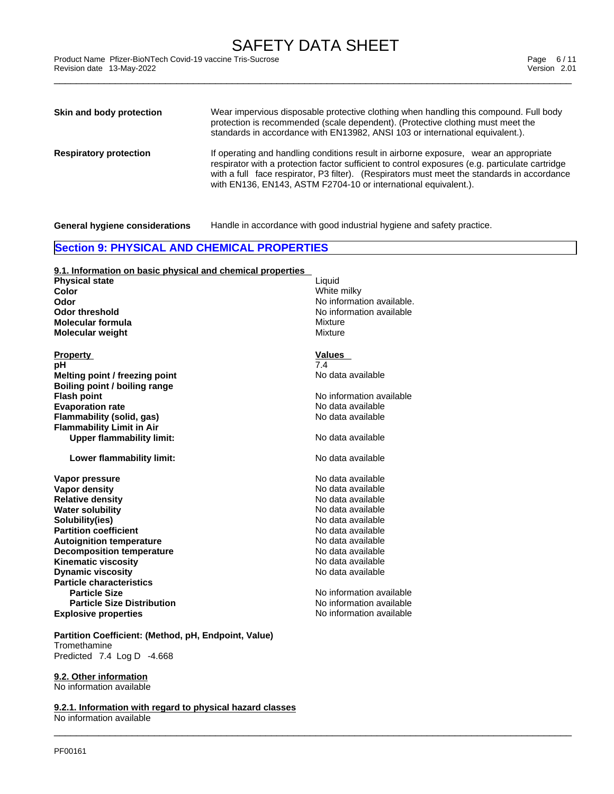\_\_\_\_\_\_\_\_\_\_\_\_\_\_\_\_\_\_\_\_\_\_\_\_\_\_\_\_\_\_\_\_\_\_\_\_\_\_\_\_\_\_\_\_\_\_\_\_\_\_\_\_\_\_\_\_\_\_\_\_\_\_\_\_\_\_\_\_\_\_\_\_\_\_\_\_\_\_\_\_\_\_\_\_\_\_\_\_\_\_\_\_\_ Product Name Pfizer-BioNTech Covid-19 vaccine Tris-Sucrose Page 6 / 11 Revision date 13-May-2022 Version 2.01

| Skin and body protection      | Wear impervious disposable protective clothing when handling this compound. Full body<br>protection is recommended (scale dependent). (Protective clothing must meet the<br>standards in accordance with EN13982, ANSI 103 or international equivalent.).                                                                                                  |
|-------------------------------|------------------------------------------------------------------------------------------------------------------------------------------------------------------------------------------------------------------------------------------------------------------------------------------------------------------------------------------------------------|
| <b>Respiratory protection</b> | If operating and handling conditions result in airborne exposure, wear an appropriate<br>respirator with a protection factor sufficient to control exposures (e.g. particulate cartridge<br>with a full face respirator, P3 filter). (Respirators must meet the standards in accordance<br>with EN136, EN143, ASTM F2704-10 or international equivalent.). |

 $\_$  ,  $\_$  ,  $\_$  ,  $\_$  ,  $\_$  ,  $\_$  ,  $\_$  ,  $\_$  ,  $\_$  ,  $\_$  ,  $\_$  ,  $\_$  ,  $\_$  ,  $\_$  ,  $\_$  ,  $\_$  ,  $\_$  ,  $\_$  ,  $\_$  ,  $\_$  ,  $\_$  ,  $\_$  ,  $\_$  ,  $\_$  ,  $\_$  ,  $\_$  ,  $\_$  ,  $\_$  ,  $\_$  ,  $\_$  ,  $\_$  ,  $\_$  ,  $\_$  ,  $\_$  ,  $\_$  ,  $\_$  ,  $\_$  ,

**General hygiene considerations** Handle in accordance with good industrial hygiene and safety practice.

# **Section 9: PHYSICAL AND CHEMICAL PROPERTIES**

| 9.1. Information on basic physical and chemical properties           |                           |
|----------------------------------------------------------------------|---------------------------|
| <b>Physical state</b>                                                | Liquid                    |
| Color                                                                | White milky               |
| Odor                                                                 | No information available. |
| <b>Odor threshold</b>                                                | No information available  |
| Molecular formula                                                    | Mixture                   |
| <b>Molecular weight</b>                                              | Mixture                   |
|                                                                      | Values                    |
| <b>Property</b><br>рH                                                | 7.4                       |
| Melting point / freezing point                                       | No data available         |
| Boiling point / boiling range                                        |                           |
|                                                                      | No information available  |
| <b>Flash point</b><br><b>Evaporation rate</b>                        | No data available         |
|                                                                      | No data available         |
| <b>Flammability (solid, gas)</b><br><b>Flammability Limit in Air</b> |                           |
|                                                                      | No data available         |
| <b>Upper flammability limit:</b>                                     |                           |
| Lower flammability limit:                                            | No data available         |
| Vapor pressure                                                       | No data available         |
| <b>Vapor density</b>                                                 | No data available         |
| <b>Relative density</b>                                              | No data available         |
| <b>Water solubility</b>                                              | No data available         |
| Solubility(ies)                                                      | No data available         |
| <b>Partition coefficient</b>                                         | No data available         |
| <b>Autoignition temperature</b>                                      | No data available         |
| <b>Decomposition temperature</b>                                     | No data available         |
| <b>Kinematic viscosity</b>                                           | No data available         |
| <b>Dynamic viscosity</b>                                             | No data available         |
| <b>Particle characteristics</b>                                      |                           |
| <b>Particle Size</b>                                                 | No information available  |
| <b>Particle Size Distribution</b>                                    | No information available  |
| <b>Explosive properties</b>                                          | No information available  |
| Partition Coefficient: (Method, pH, Endpoint, Value)                 |                           |

Tromethamine

Predicted 7.4 Log D -4.668

**9.2.1. Information with regard to physical hazard classes**

**9.2. Other information** No information available

No information available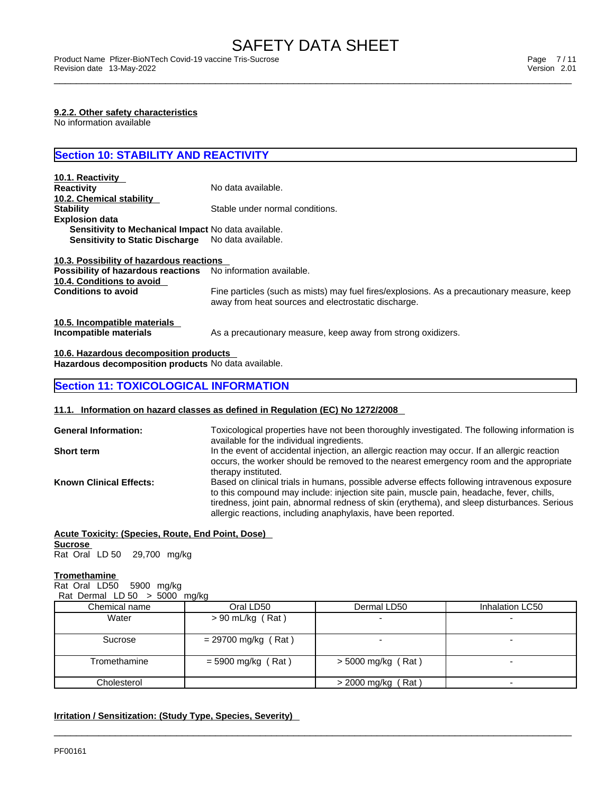\_\_\_\_\_\_\_\_\_\_\_\_\_\_\_\_\_\_\_\_\_\_\_\_\_\_\_\_\_\_\_\_\_\_\_\_\_\_\_\_\_\_\_\_\_\_\_\_\_\_\_\_\_\_\_\_\_\_\_\_\_\_\_\_\_\_\_\_\_\_\_\_\_\_\_\_\_\_\_\_\_\_\_\_\_\_\_\_\_\_\_\_\_ Product Name Pfizer-BioNTech Covid-19 vaccine Tris-Sucrose Page 7 / 11 Revision date 13-May-2022 Version 2.01

### **9.2.2. Other safety characteristics**

No information available

# **Section 10: STABILITY AND REACTIVITY**

| 10.1. Reactivity                                           |                                                                                                                                                   |
|------------------------------------------------------------|---------------------------------------------------------------------------------------------------------------------------------------------------|
| <b>Reactivity</b>                                          | No data available.                                                                                                                                |
| 10.2. Chemical stability                                   |                                                                                                                                                   |
| <b>Stability</b>                                           | Stable under normal conditions.                                                                                                                   |
| <b>Explosion data</b>                                      |                                                                                                                                                   |
| <b>Sensitivity to Mechanical Impact No data available.</b> |                                                                                                                                                   |
| <b>Sensitivity to Static Discharge</b>                     | No data available.                                                                                                                                |
| 10.3. Possibility of hazardous reactions                   |                                                                                                                                                   |
| Possibility of hazardous reactions                         | No information available.                                                                                                                         |
| 10.4. Conditions to avoid                                  |                                                                                                                                                   |
| <b>Conditions to avoid</b>                                 | Fine particles (such as mists) may fuel fires/explosions. As a precautionary measure, keep<br>away from heat sources and electrostatic discharge. |
| 10.5. Incompatible materials                               |                                                                                                                                                   |
| Incompatible materials                                     | As a precautionary measure, keep away from strong oxidizers.                                                                                      |

# **10.6. Hazardous decomposition products**

**Hazardous decomposition products** No data available.

# **Section 11: TOXICOLOGICAL INFORMATION**

#### **11.1. Information on hazard classes as defined in Regulation (EC) No 1272/2008**

| <b>General Information:</b>    | Toxicological properties have not been thoroughly investigated. The following information is<br>available for the individual ingredients.                                                                                                                                                                                                                |
|--------------------------------|----------------------------------------------------------------------------------------------------------------------------------------------------------------------------------------------------------------------------------------------------------------------------------------------------------------------------------------------------------|
| <b>Short term</b>              | In the event of accidental injection, an allergic reaction may occur. If an allergic reaction<br>occurs, the worker should be removed to the nearest emergency room and the appropriate<br>therapy instituted.                                                                                                                                           |
| <b>Known Clinical Effects:</b> | Based on clinical trials in humans, possible adverse effects following intravenous exposure<br>to this compound may include: injection site pain, muscle pain, headache, fever, chills,<br>tiredness, joint pain, abnormal redness of skin (erythema), and sleep disturbances. Serious<br>allergic reactions, including anaphylaxis, have been reported. |

# **Acute Toxicity: (Species, Route, End Point, Dose)**

**Sucrose**  Rat Oral LD 50 29,700 mg/kg

#### **Tromethamine**

Rat Oral LD50 5900 mg/kg Rat Dermal LD  $50 > 5000$  mg/kg

| $\frac{1}{2}$ being to $\frac{1}{2}$ and $\frac{1}{2}$ and $\frac{1}{2}$ |                       |                          |                 |
|--------------------------------------------------------------------------|-----------------------|--------------------------|-----------------|
| Chemical name                                                            | Oral LD50             | Dermal LD50              | Inhalation LC50 |
| Water                                                                    | $> 90$ mL/kg (Rat)    |                          |                 |
| Sucrose                                                                  | $= 29700$ mg/kg (Rat) |                          |                 |
| Tromethamine                                                             | $=$ 5900 mg/kg (Rat)  | $>$ 5000 mg/kg (Rat)     |                 |
| Cholesterol                                                              |                       | Rat)<br>$> 2000$ mg/kg ( |                 |

 $\_$  ,  $\_$  ,  $\_$  ,  $\_$  ,  $\_$  ,  $\_$  ,  $\_$  ,  $\_$  ,  $\_$  ,  $\_$  ,  $\_$  ,  $\_$  ,  $\_$  ,  $\_$  ,  $\_$  ,  $\_$  ,  $\_$  ,  $\_$  ,  $\_$  ,  $\_$  ,  $\_$  ,  $\_$  ,  $\_$  ,  $\_$  ,  $\_$  ,  $\_$  ,  $\_$  ,  $\_$  ,  $\_$  ,  $\_$  ,  $\_$  ,  $\_$  ,  $\_$  ,  $\_$  ,  $\_$  ,  $\_$  ,  $\_$  ,

# **Irritation / Sensitization: (Study Type, Species, Severity)**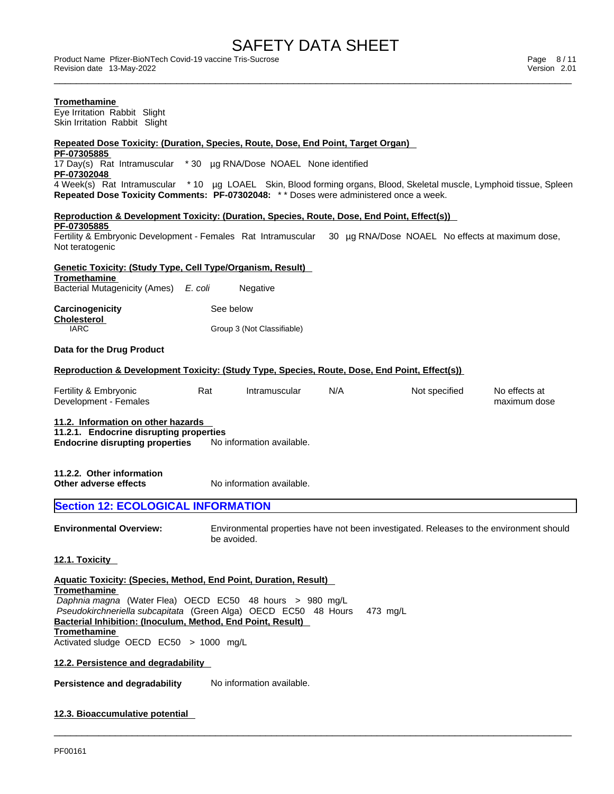\_\_\_\_\_\_\_\_\_\_\_\_\_\_\_\_\_\_\_\_\_\_\_\_\_\_\_\_\_\_\_\_\_\_\_\_\_\_\_\_\_\_\_\_\_\_\_\_\_\_\_\_\_\_\_\_\_\_\_\_\_\_\_\_\_\_\_\_\_\_\_\_\_\_\_\_\_\_\_\_\_\_\_\_\_\_\_\_\_\_\_\_\_ Product Name Pfizer-BioNTech Covid-19 vaccine Tris-Sucrose Page 8 / 11 Revision date 13-May-2022 Version 2.01

| Tromethamine<br>Eye Irritation Rabbit Slight<br>Skin Irritation Rabbit Slight                                                                                                 |     |                                                        |     |                                                                                         |                               |
|-------------------------------------------------------------------------------------------------------------------------------------------------------------------------------|-----|--------------------------------------------------------|-----|-----------------------------------------------------------------------------------------|-------------------------------|
| <u> Repeated Dose Toxicity: (Duration, Species, Route, Dose, End Point, Target Organ)</u>                                                                                     |     |                                                        |     |                                                                                         |                               |
| PF-07305885                                                                                                                                                                   |     |                                                        |     |                                                                                         |                               |
| 17 Day(s) Rat Intramuscular * 30 µg RNA/Dose NOAEL None identified<br>PF-07302048                                                                                             |     |                                                        |     |                                                                                         |                               |
| 4 Week(s) Rat Intramuscular *10 µg LOAEL Skin, Blood forming organs, Blood, Skeletal muscle, Lymphoid tissue, Spleen                                                          |     |                                                        |     |                                                                                         |                               |
| Repeated Dose Toxicity Comments: PF-07302048: ** Doses were administered once a week.                                                                                         |     |                                                        |     |                                                                                         |                               |
| Reproduction & Development Toxicity: (Duration, Species, Route, Dose, End Point, Effect(s))                                                                                   |     |                                                        |     |                                                                                         |                               |
| PF-07305885                                                                                                                                                                   |     |                                                        |     |                                                                                         |                               |
| Fertility & Embryonic Development - Females Rat Intramuscular 30 µg RNA/Dose NOAEL No effects at maximum dose,<br>Not teratogenic                                             |     |                                                        |     |                                                                                         |                               |
|                                                                                                                                                                               |     |                                                        |     |                                                                                         |                               |
| Genetic Toxicity: (Study Type, Cell Type/Organism, Result)<br>Tromethamine                                                                                                    |     |                                                        |     |                                                                                         |                               |
| Bacterial Mutagenicity (Ames) E. coli                                                                                                                                         |     | Negative                                               |     |                                                                                         |                               |
| <b>Carcinogenicity</b>                                                                                                                                                        |     | See below                                              |     |                                                                                         |                               |
| <b>Cholesterol</b><br><b>IARC</b>                                                                                                                                             |     | Group 3 (Not Classifiable)                             |     |                                                                                         |                               |
|                                                                                                                                                                               |     |                                                        |     |                                                                                         |                               |
| Data for the Drug Product                                                                                                                                                     |     |                                                        |     |                                                                                         |                               |
| <u> Reproduction &amp; Development Toxicity: (Study Type, Species, Route, Dose, End Point, Effect(s))</u>                                                                     |     |                                                        |     |                                                                                         |                               |
| Fertility & Embryonic<br>Development - Females                                                                                                                                | Rat | Intramuscular                                          | N/A | Not specified                                                                           | No effects at<br>maximum dose |
| 11.2. Information on other hazards<br>11.2.1. Endocrine disrupting properties<br><b>Endocrine disrupting properties</b><br>11.2.2. Other information<br>Other adverse effects |     | No information available.<br>No information available. |     |                                                                                         |                               |
| <b>Section 12: ECOLOGICAL INFORMATION</b>                                                                                                                                     |     |                                                        |     |                                                                                         |                               |
| <b>Environmental Overview:</b>                                                                                                                                                |     | be avoided.                                            |     | Environmental properties have not been investigated. Releases to the environment should |                               |
| <u>12.1. Toxicity</u>                                                                                                                                                         |     |                                                        |     |                                                                                         |                               |
| Aquatic Toxicity: (Species, Method, End Point, Duration, Result)<br>Tromethamine                                                                                              |     |                                                        |     |                                                                                         |                               |
| Daphnia magna (Water Flea) OECD EC50 48 hours > 980 mg/L<br>Pseudokirchneriella subcapitata (Green Alga) OECD EC50 48 Hours                                                   |     |                                                        |     | 473 mg/L                                                                                |                               |
| Bacterial Inhibition: (Inoculum, Method, End Point, Result)<br><b>Tromethamine</b>                                                                                            |     |                                                        |     |                                                                                         |                               |
| Activated sludge OECD EC50 > 1000 mg/L                                                                                                                                        |     |                                                        |     |                                                                                         |                               |
| 12.2. Persistence and degradability                                                                                                                                           |     |                                                        |     |                                                                                         |                               |
| <b>Persistence and degradability</b>                                                                                                                                          |     | No information available.                              |     |                                                                                         |                               |
| 12.3. Bioaccumulative potential                                                                                                                                               |     |                                                        |     |                                                                                         |                               |
|                                                                                                                                                                               |     |                                                        |     |                                                                                         |                               |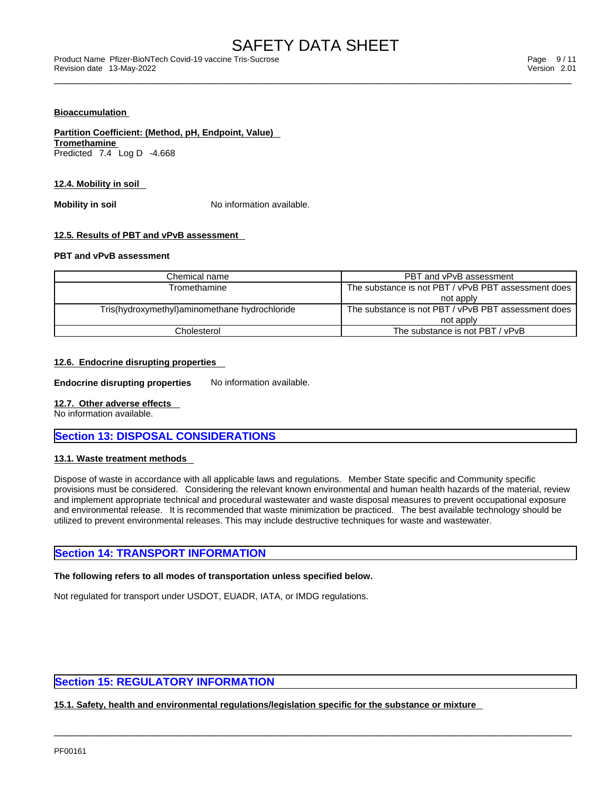#### **Bioaccumulation**

# **Partition Coefficient: (Method, pH, Endpoint, Value)**

**Tromethamine** Predicted 7.4 Log D -4.668

#### **12.4. Mobility in soil**

**Mobility in soil Mobility in soil No** information available.

# **12.5. Results of PBT and vPvB assessment**

# **PBT and vPvB assessment**

| Chemical name                                  | PBT and vPvB assessment                             |
|------------------------------------------------|-----------------------------------------------------|
| Tromethamine                                   | The substance is not PBT / vPvB PBT assessment does |
|                                                | not apply                                           |
| Tris(hydroxymethyl) aminomethane hydrochloride | The substance is not PBT / vPvB PBT assessment does |
|                                                | not apply                                           |
| Cholesterol                                    | The substance is not PBT / vPvB                     |

# **12.6. Endocrine disrupting properties**

**Endocrine disrupting properties** No information available.

#### **12.7. Other adverse effects**

No information available.

# **Section 13: DISPOSAL CONSIDERATIONS**

# **13.1. Waste treatment methods**

Dispose of waste in accordance with all applicable laws and regulations. Member State specific and Community specific provisions must be considered. Considering the relevant known environmental and human health hazards of the material, review and implement appropriate technical and procedural wastewater and waste disposal measures to prevent occupational exposure and environmental release. It is recommended that waste minimization be practiced. The best available technology should be utilized to prevent environmental releases. This may include destructive techniques for waste and wastewater.

 $\_$  ,  $\_$  ,  $\_$  ,  $\_$  ,  $\_$  ,  $\_$  ,  $\_$  ,  $\_$  ,  $\_$  ,  $\_$  ,  $\_$  ,  $\_$  ,  $\_$  ,  $\_$  ,  $\_$  ,  $\_$  ,  $\_$  ,  $\_$  ,  $\_$  ,  $\_$  ,  $\_$  ,  $\_$  ,  $\_$  ,  $\_$  ,  $\_$  ,  $\_$  ,  $\_$  ,  $\_$  ,  $\_$  ,  $\_$  ,  $\_$  ,  $\_$  ,  $\_$  ,  $\_$  ,  $\_$  ,  $\_$  ,  $\_$  ,

# **Section 14: TRANSPORT INFORMATION**

#### **The following refers to all modes of transportation unless specified below.**

Not regulated for transport under USDOT, EUADR, IATA, or IMDG regulations.

# **Section 15: REGULATORY INFORMATION**

**15.1. Safety, health and environmental regulations/legislation specific for the substance or mixture**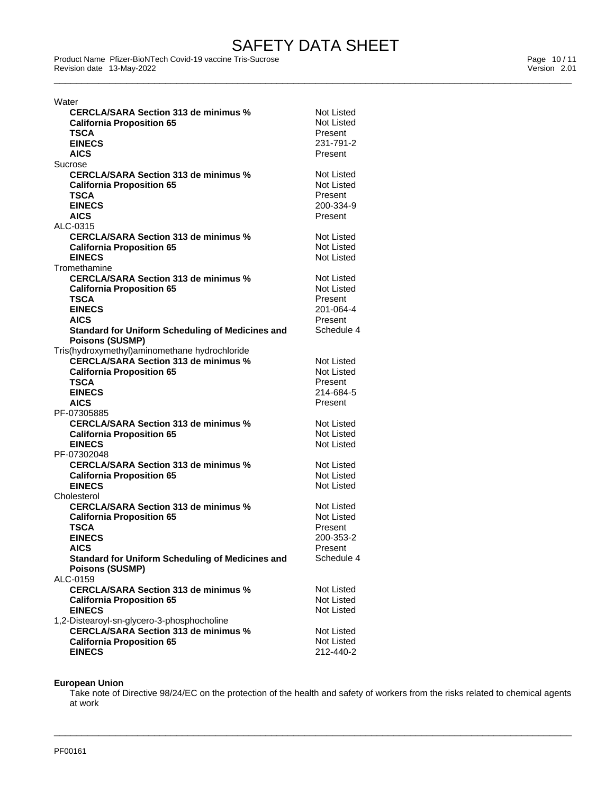eroduct Name Pfizer-BioNTech Covid-19 vaccine Tris-Sucrose<br>
Revision date 13-May-2022<br>
Version 2.01 Revision date 13-May-2022

| Water                                             |                                 |
|---------------------------------------------------|---------------------------------|
| <b>CERCLA/SARA Section 313 de minimus %</b>       | Not Listed                      |
| <b>California Proposition 65</b>                  | Not Listed                      |
| TSCA                                              | Present                         |
| <b>EINECS</b>                                     | 231-791-2                       |
| <b>AICS</b>                                       | Present                         |
| Sucrose                                           |                                 |
| <b>CERCLA/SARA Section 313 de minimus %</b>       | Not Listed                      |
| <b>California Proposition 65</b>                  | Not Listed                      |
| TSCA                                              | Present                         |
| <b>EINECS</b>                                     | 200-334-9                       |
| <b>AICS</b>                                       | Present                         |
| ALC-0315                                          |                                 |
| <b>CERCLA/SARA Section 313 de minimus %</b>       | Not Listed                      |
| <b>California Proposition 65</b>                  | <b>Not Listed</b>               |
| <b>EINECS</b>                                     | Not Listed                      |
| Tromethamine                                      |                                 |
| <b>CERCLA/SARA Section 313 de minimus %</b>       | Not Listed                      |
| <b>California Proposition 65</b>                  | Not Listed                      |
| <b>TSCA</b>                                       | Present                         |
| <b>EINECS</b>                                     | 201-064-4                       |
| <b>AICS</b>                                       | Present                         |
| Standard for Uniform Scheduling of Medicines and  | Schedule 4                      |
| <b>Poisons (SUSMP)</b>                            |                                 |
| Tris(hydroxymethyl)aminomethane hydrochloride     |                                 |
| <b>CERCLA/SARA Section 313 de minimus %</b>       | Not Listed                      |
| <b>California Proposition 65</b>                  | <b>Not Listed</b>               |
| <b>TSCA</b>                                       | Present                         |
| <b>EINECS</b>                                     | 214-684-5                       |
| <b>AICS</b>                                       | Present                         |
| PF-07305885                                       | Not Listed                      |
| <b>CERCLA/SARA Section 313 de minimus %</b>       |                                 |
| <b>California Proposition 65</b>                  | Not Listed<br><b>Not Listed</b> |
| <b>EINECS</b><br>PF-07302048                      |                                 |
| <b>CERCLA/SARA Section 313 de minimus %</b>       | Not Listed                      |
|                                                   | Not Listed                      |
| <b>California Proposition 65</b><br><b>EINECS</b> | Not Listed                      |
| Cholesterol                                       |                                 |
| <b>CERCLA/SARA Section 313 de minimus %</b>       | Not Listed                      |
| <b>California Proposition 65</b>                  | Not Listed                      |
| <b>TSCA</b>                                       | Present                         |
| <b>EINECS</b>                                     | 200-353-2                       |
| <b>AICS</b>                                       | Present                         |
| Standard for Uniform Scheduling of Medicines and  | Schedule 4                      |
| <b>Poisons (SUSMP)</b>                            |                                 |
| ALC-0159                                          |                                 |
| <b>CERCLA/SARA Section 313 de minimus %</b>       | Not Listed                      |
| <b>California Proposition 65</b>                  | Not Listed                      |
| <b>EINECS</b>                                     | Not Listed                      |
| 1,2-Distearoyl-sn-glycero-3-phosphocholine        |                                 |
| <b>CERCLA/SARA Section 313 de minimus %</b>       | <b>Not Listed</b>               |
| <b>California Proposition 65</b>                  | Not Listed                      |
| <b>EINECS</b>                                     | 212-440-2                       |

### **European Union**

Take note of Directive 98/24/EC on the protection of the health and safety of workers from the risks related to chemical agents at work